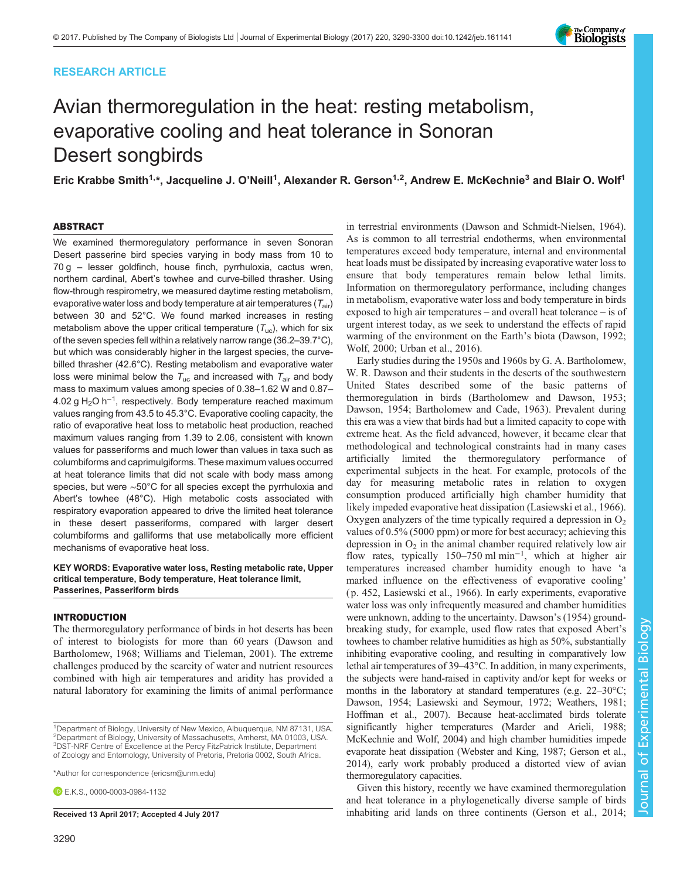# RESEARCH ARTICLE

# Avian thermoregulation in the heat: resting metabolism, evaporative cooling and heat tolerance in Sonoran Desert songbirds

Eric Krabbe Smith<sup>1,</sup>\*, Jacqueline J. O'Neill<sup>1</sup>, Alexander R. Gerson<sup>1,2</sup>, Andrew E. McKechnie<sup>3</sup> and Blair O. Wolf<sup>1</sup>

# ABSTRACT

We examined thermoregulatory performance in seven Sonoran Desert passerine bird species varying in body mass from 10 to 70 g – lesser goldfinch, house finch, pyrrhuloxia, cactus wren, northern cardinal, Abert's towhee and curve-billed thrasher. Using flow-through respirometry, we measured daytime resting metabolism, evaporative water loss and body temperature at air temperatures  $(T_{air})$ between 30 and 52°C. We found marked increases in resting metabolism above the upper critical temperature  $(T_{uc})$ , which for six of the seven species fell within a relatively narrow range (36.2–39.7°C), but which was considerably higher in the largest species, the curvebilled thrasher (42.6°C). Resting metabolism and evaporative water loss were minimal below the  $T_{uc}$  and increased with  $T_{air}$  and body mass to maximum values among species of 0.38–1.62 W and 0.87– 4.02 g H<sub>2</sub>O h<sup>-1</sup>, respectively. Body temperature reached maximum values ranging from 43.5 to 45.3°C. Evaporative cooling capacity, the ratio of evaporative heat loss to metabolic heat production, reached maximum values ranging from 1.39 to 2.06, consistent with known values for passeriforms and much lower than values in taxa such as columbiforms and caprimulgiforms. These maximum values occurred at heat tolerance limits that did not scale with body mass among species, but were ∼50°C for all species except the pyrrhuloxia and Abert's towhee (48°C). High metabolic costs associated with respiratory evaporation appeared to drive the limited heat tolerance in these desert passeriforms, compared with larger desert columbiforms and galliforms that use metabolically more efficient mechanisms of evaporative heat loss.

KEY WORDS: Evaporative water loss, Resting metabolic rate, Upper critical temperature, Body temperature, Heat tolerance limit, Passerines, Passeriform birds

## INTRODUCTION

The thermoregulatory performance of birds in hot deserts has been of interest to biologists for more than 60 years [\(Dawson and](#page-9-0) [Bartholomew, 1968;](#page-9-0) [Williams and Tieleman, 2001\)](#page-10-0). The extreme challenges produced by the scarcity of water and nutrient resources combined with high air temperatures and aridity has provided a natural laboratory for examining the limits of animal performance

\*Author for correspondence [\(ericsm@unm.edu](mailto:ericsm@unm.edu))

**E.K.S., [0000-0003-0984-1132](http://orcid.org/0000-0003-0984-1132)** 

heat loads must be dissipated by increasing evaporative water loss to ensure that body temperatures remain below lethal limits. Information on thermoregulatory performance, including changes in metabolism, evaporative water loss and body temperature in birds exposed to high air temperatures – and overall heat tolerance – is of urgent interest today, as we seek to understand the effects of rapid warming of the environment on the Earth's biota [\(Dawson, 1992](#page-9-0); [Wolf, 2000; Urban et al., 2016](#page-10-0)). Early studies during the 1950s and 1960s by G. A. Bartholomew, W. R. Dawson and their students in the deserts of the southwestern

in terrestrial environments [\(Dawson and Schmidt-Nielsen, 1964\)](#page-9-0). As is common to all terrestrial endotherms, when environmental temperatures exceed body temperature, internal and environmental

United States described some of the basic patterns of thermoregulation in birds [\(Bartholomew and Dawson, 1953](#page-9-0); [Dawson, 1954; Bartholomew and Cade, 1963](#page-9-0)). Prevalent during this era was a view that birds had but a limited capacity to cope with extreme heat. As the field advanced, however, it became clear that methodological and technological constraints had in many cases artificially limited the thermoregulatory performance of experimental subjects in the heat. For example, protocols of the day for measuring metabolic rates in relation to oxygen consumption produced artificially high chamber humidity that likely impeded evaporative heat dissipation ([Lasiewski et al., 1966\)](#page-10-0). Oxygen analyzers of the time typically required a depression in  $O<sub>2</sub>$ values of 0.5% (5000 ppm) or more for best accuracy; achieving this depression in  $O_2$  in the animal chamber required relatively low air flow rates, typically 150–750 ml min−<sup>1</sup> , which at higher air temperatures increased chamber humidity enough to have 'a marked influence on the effectiveness of evaporative cooling' ( p. 452, [Lasiewski et al., 1966](#page-10-0)). In early experiments, evaporative water loss was only infrequently measured and chamber humidities were unknown, adding to the uncertainty. [Dawson](#page-9-0)'s (1954) groundbreaking study, for example, used flow rates that exposed Abert's towhees to chamber relative humidities as high as 50%, substantially inhibiting evaporative cooling, and resulting in comparatively low lethal air temperatures of 39–43°C. In addition, in many experiments, the subjects were hand-raised in captivity and/or kept for weeks or months in the laboratory at standard temperatures (e.g. 22–30°C; [Dawson, 1954;](#page-9-0) [Lasiewski and Seymour, 1972](#page-10-0); [Weathers, 1981](#page-10-0); [Hoffman et al., 2007](#page-9-0)). Because heat-acclimated birds tolerate significantly higher temperatures [\(Marder and Arieli, 1988](#page-10-0); [McKechnie and Wolf, 2004\)](#page-10-0) and high chamber humidities impede evaporate heat dissipation ([Webster and King, 1987](#page-10-0); [Gerson et al.,](#page-9-0) [2014\)](#page-9-0), early work probably produced a distorted view of avian thermoregulatory capacities.

Given this history, recently we have examined thermoregulation and heat tolerance in a phylogenetically diverse sample of birds Received 13 April 2017; Accepted 4 July 2017 inhabiting arid lands on three continents ([Gerson et al., 2014](#page-9-0);





<sup>&</sup>lt;sup>1</sup>Department of Biology, University of New Mexico, Albuquerque, NM 87131, USA. <sup>2</sup>Department of Biology, University of Massachusetts, Amherst, MA 01003, USA. <sup>3</sup>DST-NRF Centre of Excellence at the Percy FitzPatrick Institute, Department of Zoology and Entomology, University of Pretoria, Pretoria 0002, South Africa.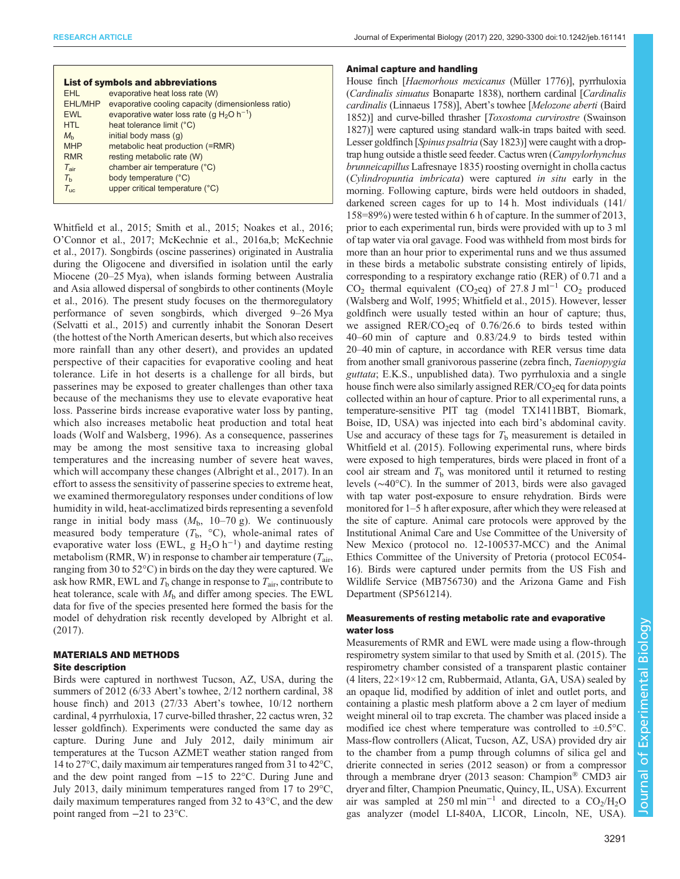| <b>List of symbols and abbreviations</b> |                                                                   |  |  |  |
|------------------------------------------|-------------------------------------------------------------------|--|--|--|
| <b>FHI</b>                               | evaporative heat loss rate (W)                                    |  |  |  |
| <b>EHL/MHP</b>                           | evaporative cooling capacity (dimensionless ratio)                |  |  |  |
| <b>EWL</b>                               | evaporative water loss rate (q H <sub>2</sub> O h <sup>-1</sup> ) |  |  |  |
| <b>HTL</b>                               | heat tolerance limit (°C)                                         |  |  |  |
| $M_h$                                    | initial body mass (q)                                             |  |  |  |
| <b>MHP</b>                               | metabolic heat production (=RMR)                                  |  |  |  |
| <b>RMR</b>                               | resting metabolic rate (W)                                        |  |  |  |
| $T_{\text{air}}$                         | chamber air temperature (°C)                                      |  |  |  |
| $T_{h}$                                  | body temperature (°C)                                             |  |  |  |
| $T_{\text{inc}}$                         | upper critical temperature (°C)                                   |  |  |  |
|                                          |                                                                   |  |  |  |

[Whitfield et al., 2015; Smith et al., 2015; Noakes et al., 2016](#page-10-0); O'[Connor et al., 2017](#page-10-0); [McKechnie et al., 2016a,b](#page-10-0); [McKechnie](#page-10-0) [et al., 2017\)](#page-10-0). Songbirds (oscine passerines) originated in Australia during the Oligocene and diversified in isolation until the early Miocene (20–25 Mya), when islands forming between Australia and Asia allowed dispersal of songbirds to other continents [\(Moyle](#page-10-0) [et al., 2016\)](#page-10-0). The present study focuses on the thermoregulatory performance of seven songbirds, which diverged 9–26 Mya [\(Selvatti et al., 2015\)](#page-10-0) and currently inhabit the Sonoran Desert (the hottest of the North American deserts, but which also receives more rainfall than any other desert), and provides an updated perspective of their capacities for evaporative cooling and heat tolerance. Life in hot deserts is a challenge for all birds, but passerines may be exposed to greater challenges than other taxa because of the mechanisms they use to elevate evaporative heat loss. Passerine birds increase evaporative water loss by panting, which also increases metabolic heat production and total heat loads ([Wolf and Walsberg, 1996\)](#page-10-0). As a consequence, passerines may be among the most sensitive taxa to increasing global temperatures and the increasing number of severe heat waves, which will accompany these changes [\(Albright et al., 2017](#page-9-0)). In an effort to assess the sensitivity of passerine species to extreme heat, we examined thermoregulatory responses under conditions of low humidity in wild, heat-acclimatized birds representing a sevenfold range in initial body mass  $(M_b, 10-70 \text{ g})$ . We continuously measured body temperature  $(T_b, \text{°C})$ , whole-animal rates of evaporative water loss (EWL, g  $H_2O$  h<sup>-1</sup>) and daytime resting metabolism (RMR, W) in response to chamber air temperature ( $T_{\text{air}}$ , ranging from 30 to 52°C) in birds on the day they were captured. We ask how RMR, EWL and  $T<sub>b</sub>$  change in response to  $T<sub>air</sub>$ , contribute to heat tolerance, scale with  $M<sub>b</sub>$  and differ among species. The EWL data for five of the species presented here formed the basis for the model of dehydration risk recently developed by [Albright et al.](#page-9-0) [\(2017\)](#page-9-0).

# MATERIALS AND METHODS Site description

Birds were captured in northwest Tucson, AZ, USA, during the summers of 2012 (6/33 Abert's towhee, 2/12 northern cardinal, 38 house finch) and 2013 (27/33 Abert's towhee, 10/12 northern cardinal, 4 pyrrhuloxia, 17 curve-billed thrasher, 22 cactus wren, 32 lesser goldfinch). Experiments were conducted the same day as capture. During June and July 2012, daily minimum air temperatures at the Tucson AZMET weather station ranged from 14 to 27°C, daily maximum air temperatures ranged from 31 to 42°C, and the dew point ranged from −15 to 22°C. During June and July 2013, daily minimum temperatures ranged from 17 to 29°C, daily maximum temperatures ranged from 32 to 43°C, and the dew point ranged from −21 to 23°C.

#### Animal capture and handling

House finch [Haemorhous mexicanus (Müller 1776)], pyrrhuloxia (Cardinalis sinuatus Bonaparte 1838), northern cardinal [Cardinalis cardinalis (Linnaeus 1758)], Abert's towhee [Melozone aberti (Baird 1852)] and curve-billed thrasher [Toxostoma curvirostre (Swainson 1827)] were captured using standard walk-in traps baited with seed. Lesser goldfinch [Spinus psaltria (Say 1823)] were caught with a droptrap hung outside a thistle seed feeder. Cactus wren (Campylorhynchus brunneicapillus Lafresnaye 1835) roosting overnight in cholla cactus (Cylindropuntia imbricata) were captured in situ early in the morning. Following capture, birds were held outdoors in shaded, darkened screen cages for up to 14 h. Most individuals (141/ 158=89%) were tested within 6 h of capture. In the summer of 2013, prior to each experimental run, birds were provided with up to 3 ml of tap water via oral gavage. Food was withheld from most birds for more than an hour prior to experimental runs and we thus assumed in these birds a metabolic substrate consisting entirely of lipids, corresponding to a respiratory exchange ratio (RER) of 0.71 and a  $CO<sub>2</sub>$  thermal equivalent (CO<sub>2</sub>eq) of 27.8 J ml<sup>-1</sup> CO<sub>2</sub> produced [\(Walsberg and Wolf, 1995; Whitfield et al., 2015](#page-10-0)). However, lesser goldfinch were usually tested within an hour of capture; thus, we assigned RER/CO<sub>2</sub>eq of  $0.76/26.6$  to birds tested within 40–60 min of capture and 0.83/24.9 to birds tested within 20–40 min of capture, in accordance with RER versus time data from another small granivorous passerine (zebra finch, Taeniopygia guttata; E.K.S., unpublished data). Two pyrrhuloxia and a single house finch were also similarly assigned  $RER/CO<sub>2</sub>$  for data points collected within an hour of capture. Prior to all experimental runs, a temperature-sensitive PIT tag (model TX1411BBT, Biomark, Boise, ID, USA) was injected into each bird's abdominal cavity. Use and accuracy of these tags for  $T<sub>b</sub>$  measurement is detailed in [Whitfield et al. \(2015\)](#page-10-0). Following experimental runs, where birds were exposed to high temperatures, birds were placed in front of a cool air stream and  $T<sub>b</sub>$  was monitored until it returned to resting levels (∼40°C). In the summer of 2013, birds were also gavaged with tap water post-exposure to ensure rehydration. Birds were monitored for 1–5 h after exposure, after which they were released at the site of capture. Animal care protocols were approved by the Institutional Animal Care and Use Committee of the University of New Mexico ( protocol no. 12-100537-MCC) and the Animal Ethics Committee of the University of Pretoria ( protocol EC054- 16). Birds were captured under permits from the US Fish and Wildlife Service (MB756730) and the Arizona Game and Fish Department (SP561214).

# Measurements of resting metabolic rate and evaporative water loss

Measurements of RMR and EWL were made using a flow-through respirometry system similar to that used by [Smith et al. \(2015\).](#page-10-0) The respirometry chamber consisted of a transparent plastic container  $(4 \text{ liters}, 22 \times 19 \times 12 \text{ cm}, \text{Rubbernaid}, \text{Atlanta}, \text{GA}, \text{USA})$  sealed by an opaque lid, modified by addition of inlet and outlet ports, and containing a plastic mesh platform above a 2 cm layer of medium weight mineral oil to trap excreta. The chamber was placed inside a modified ice chest where temperature was controlled to  $\pm 0.5^{\circ}$ C. Mass-flow controllers (Alicat, Tucson, AZ, USA) provided dry air to the chamber from a pump through columns of silica gel and drierite connected in series (2012 season) or from a compressor through a membrane dryer (2013 season: Champion® CMD3 air dryer and filter, Champion Pneumatic, Quincy, IL, USA). Excurrent air was sampled at  $250$  ml min<sup>-1</sup> and directed to a CO<sub>2</sub>/H<sub>2</sub>O gas analyzer (model LI-840A, LICOR, Lincoln, NE, USA).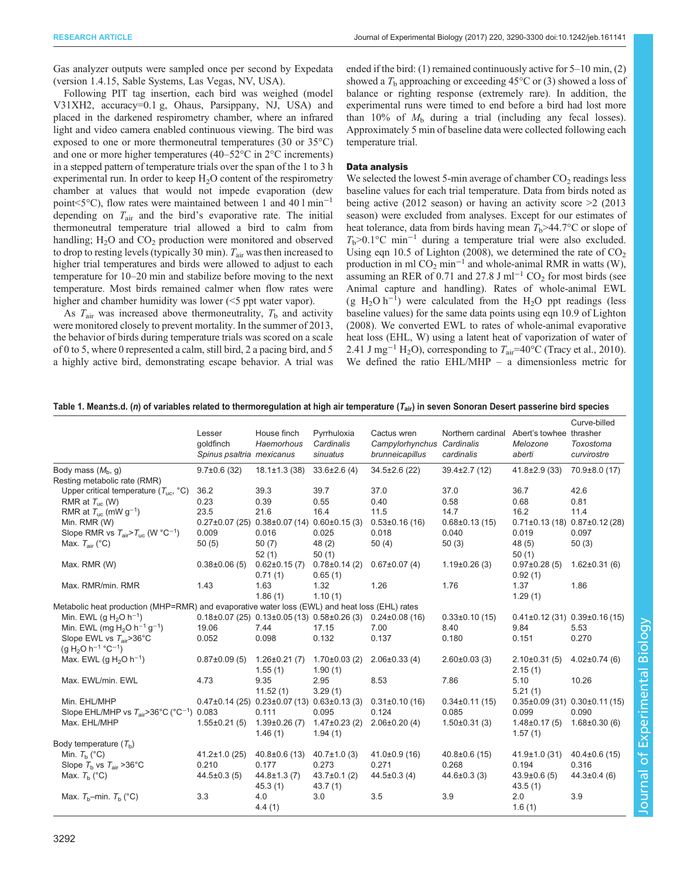<span id="page-2-0"></span>Gas analyzer outputs were sampled once per second by Expedata (version 1.4.15, Sable Systems, Las Vegas, NV, USA).

Following PIT tag insertion, each bird was weighed (model V31XH2, accuracy=0.1 g, Ohaus, Parsippany, NJ, USA) and placed in the darkened respirometry chamber, where an infrared light and video camera enabled continuous viewing. The bird was exposed to one or more thermoneutral temperatures (30 or 35°C) and one or more higher temperatures (40–52°C in 2°C increments) in a stepped pattern of temperature trials over the span of the 1 to 3 h experimental run. In order to keep  $H_2O$  content of the respirometry chamber at values that would not impede evaporation (dew point<5°C), flow rates were maintained between 1 and 40 l min−<sup>1</sup> depending on  $T_{\text{air}}$  and the bird's evaporative rate. The initial thermoneutral temperature trial allowed a bird to calm from handling;  $H_2O$  and  $CO_2$  production were monitored and observed to drop to resting levels (typically 30 min).  $T_{\text{air}}$  was then increased to higher trial temperatures and birds were allowed to adjust to each temperature for 10–20 min and stabilize before moving to the next temperature. Most birds remained calmer when flow rates were higher and chamber humidity was lower (<5 ppt water vapor).

As  $T_{\text{air}}$  was increased above thermoneutrality,  $T_{\text{b}}$  and activity were monitored closely to prevent mortality. In the summer of 2013, the behavior of birds during temperature trials was scored on a scale of 0 to 5, where 0 represented a calm, still bird, 2 a pacing bird, and 5 a highly active bird, demonstrating escape behavior. A trial was ended if the bird: (1) remained continuously active for 5–10 min, (2) showed a  $T<sub>b</sub>$  approaching or exceeding 45°C or (3) showed a loss of balance or righting response (extremely rare). In addition, the experimental runs were timed to end before a bird had lost more than 10% of  $M<sub>b</sub>$  during a trial (including any fecal losses). Approximately 5 min of baseline data were collected following each temperature trial.

# Data analysis

We selected the lowest 5-min average of chamber  $CO<sub>2</sub>$  readings less baseline values for each trial temperature. Data from birds noted as being active (2012 season) or having an activity score >2 (2013 season) were excluded from analyses. Except for our estimates of heat tolerance, data from birds having mean  $T_b > 44.7$ °C or slope of  $T<sub>b</sub> > 0.1$ °C min<sup>-1</sup> during a temperature trial were also excluded. Using eqn 10.5 of [Lighton \(2008\),](#page-10-0) we determined the rate of  $CO<sub>2</sub>$ production in ml  $CO_2$  min<sup>-1</sup> and whole-animal RMR in watts (W), assuming an RER of 0.71 and 27.8 J ml<sup>-1</sup> CO<sub>2</sub> for most birds (see Animal capture and handling). Rates of whole-animal EWL  $(g H<sub>2</sub>O h<sup>-1</sup>)$  were calculated from the H<sub>2</sub>O ppt readings (less baseline values) for the same data points using eqn 10.9 of [Lighton](#page-10-0) [\(2008\)](#page-10-0). We converted EWL to rates of whole-animal evaporative heat loss (EHL, W) using a latent heat of vaporization of water of 2.41 J mg<sup>-1</sup> H<sub>2</sub>O), corresponding to  $T_{\text{air}}$ =40°C (Tracy et al., 2010). We defined the ratio EHL/MHP – a dimensionless metric for

| Table 1. Mean±s.d. (n) of variables related to thermoregulation at high air temperature ( $T_{air}$ ) in seven Sonoran Desert passerine bird species |  |  |  |
|------------------------------------------------------------------------------------------------------------------------------------------------------|--|--|--|
|------------------------------------------------------------------------------------------------------------------------------------------------------|--|--|--|

|                                                                                                | Lesser<br>qoldfinch<br>Spinus psaltria mexicanus | House finch<br>Haemorhous                               | Pyrrhuloxia<br>Cardinalis<br>sinuatus | Cactus wren<br>Campylorhynchus<br>brunneicapillus | Northern cardinal<br>Cardinalis<br>cardinalis | Abert's towhee thrasher<br>Melozone<br>aberti | Curve-billed<br>Toxostoma<br>curvirostre |
|------------------------------------------------------------------------------------------------|--------------------------------------------------|---------------------------------------------------------|---------------------------------------|---------------------------------------------------|-----------------------------------------------|-----------------------------------------------|------------------------------------------|
| Body mass $(M_h, g)$                                                                           | $9.7\pm0.6(32)$                                  | $18.1 \pm 1.3$ (38)                                     | $33.6 \pm 2.6$ (4)                    | $34.5 \pm 2.6$ (22)                               | $39.4 \pm 2.7(12)$                            | $41.8 \pm 2.9$ (33)                           | 70.9±8.0 (17)                            |
| Resting metabolic rate (RMR)                                                                   |                                                  |                                                         |                                       |                                                   |                                               |                                               |                                          |
| Upper critical temperature $(T_{\text{uc}}, {}^{\circ}C)$                                      | 36.2                                             | 39.3                                                    | 39.7                                  | 37.0                                              | 37.0                                          | 36.7                                          | 42.6                                     |
| RMR at $T_{uc}$ (W)                                                                            | 0.23                                             | 0.39                                                    | 0.55                                  | 0.40                                              | 0.58                                          | 0.68                                          | 0.81                                     |
| RMR at $T_{\text{uc}}$ (mW g <sup>-1</sup> )                                                   | 23.5                                             | 21.6                                                    | 16.4                                  | 11.5                                              | 14.7                                          | 16.2                                          | 11.4                                     |
| Min. RMR (W)                                                                                   |                                                  | $0.27\pm0.07$ (25) $0.38\pm0.07$ (14) $0.60\pm0.15$ (3) |                                       | $0.53\pm0.16(16)$                                 | $0.68 \pm 0.13(15)$                           | $0.71\pm0.13$ (18) $0.87\pm0.12$ (28)         |                                          |
| Slope RMR vs $T_{\text{air}}$ > $T_{\text{inc}}$ (W °C <sup>-1</sup> )                         | 0.009                                            | 0.016                                                   | 0.025                                 | 0.018                                             | 0.040                                         | 0.019                                         | 0.097                                    |
| Max. $T_{\text{air}}$ (°C)                                                                     | 50(5)                                            | 50(7)                                                   | 48(2)                                 | 50(4)                                             | 50(3)                                         | 48(5)                                         | 50(3)                                    |
|                                                                                                |                                                  | 52(1)                                                   | 50(1)                                 |                                                   |                                               | 50(1)                                         |                                          |
| Max. RMR (W)                                                                                   | $0.38\pm0.06(5)$                                 | $0.62 \pm 0.15(7)$                                      | $0.78\pm0.14(2)$                      | $0.67 \pm 0.07$ (4)                               | $1.19\pm0.26(3)$                              | $0.97\pm0.28(5)$                              | $1.62 \pm 0.31(6)$                       |
|                                                                                                |                                                  | 0.71(1)                                                 | 0.65(1)                               |                                                   |                                               | 0.92(1)                                       |                                          |
| Max. RMR/min. RMR                                                                              | 1.43                                             | 1.63                                                    | 1.32                                  | 1.26                                              | 1.76                                          | 1.37                                          | 1.86                                     |
|                                                                                                |                                                  | 1.86(1)                                                 | 1.10(1)                               |                                                   |                                               | 1.29(1)                                       |                                          |
| Metabolic heat production (MHP=RMR) and evaporative water loss (EWL) and heat loss (EHL) rates |                                                  |                                                         |                                       |                                                   |                                               |                                               |                                          |
| Min. EWL (g $H_2O$ h <sup>-1</sup> )                                                           |                                                  | $0.18\pm0.07$ (25) $0.13\pm0.05$ (13) $0.58\pm0.26$ (3) |                                       | $0.24 \pm 0.08$ (16)                              | $0.33\pm0.10$ (15)                            |                                               | $0.41\pm0.12$ (31) $0.39\pm0.16$ (15)    |
| Min. EWL (mg $H_2O$ h <sup>-1</sup> g <sup>-1</sup> )                                          | 19.06                                            | 7.44                                                    | 17.15                                 | 7.00                                              | 8.40                                          | 9.84                                          | 5.53                                     |
| Slope EWL vs $T_{\text{air}} > 36^{\circ} \text{C}$                                            | 0.052                                            | 0.098                                                   | 0.132                                 | 0.137                                             | 0.180                                         | 0.151                                         | 0.270                                    |
| (g H <sub>2</sub> O h <sup>-1</sup> °C <sup>-1</sup> )                                         |                                                  |                                                         |                                       |                                                   |                                               |                                               |                                          |
| Max. EWL (g $H_2O$ h <sup>-1</sup> )                                                           | $0.87\pm0.09(5)$                                 | $1.26 \pm 0.21(7)$<br>1.55(1)                           | $1.70\pm0.03(2)$<br>1.90(1)           | $2.06\pm0.33(4)$                                  | $2.60 \pm 0.03$ (3)                           | $2.10\pm0.31(5)$<br>2.15(1)                   | $4.02 \pm 0.74$ (6)                      |
| Max. EWL/min. EWL                                                                              | 4.73                                             | 9.35<br>11.52(1)                                        | 2.95<br>3.29(1)                       | 8.53                                              | 7.86                                          | 5.10<br>5.21(1)                               | 10.26                                    |
| Min. EHL/MHP                                                                                   |                                                  | $0.47\pm0.14$ (25) $0.23\pm0.07$ (13) $0.63\pm0.13$ (3) |                                       | $0.31 \pm 0.10$ (16)                              | $0.34\pm0.11(15)$                             | $0.35 \pm 0.09$ (31)                          | $0.30\pm0.11(15)$                        |
| Slope EHL/MHP vs $T_{\text{air}} > 36^{\circ} \text{C}$ (°C <sup>-1</sup> )                    | 0.083                                            | 0.111                                                   | 0.095                                 | 0.124                                             | 0.085                                         | 0.099                                         | 0.090                                    |
| Max. EHL/MHP                                                                                   | $1.55 \pm 0.21(5)$                               | $1.39\pm0.26(7)$<br>1.46(1)                             | $1.47\pm0.23(2)$<br>1.94(1)           | $2.06\pm0.20(4)$                                  | $1.50\pm0.31(3)$                              | $1.48\pm0.17(5)$<br>1.57(1)                   | $1.68 \pm 0.30$ (6)                      |
| Body temperature $(Tb)$                                                                        |                                                  |                                                         |                                       |                                                   |                                               |                                               |                                          |
| Min. $T_h$ (°C)                                                                                | $41.2 \pm 1.0$ (25)                              | $40.8 \pm 0.6$ (13)                                     | $40.7 \pm 1.0$ (3)                    | $41.0 \pm 0.9$ (16)                               | $40.8 \pm 0.6$ (15)                           | $41.9 \pm 1.0$ (31)                           | $40.4\pm0.6$ (15)                        |
| Slope $T_b$ vs $T_{air} > 36^{\circ}$ C                                                        | 0.210                                            | 0.177                                                   | 0.273                                 | 0.271                                             | 0.268                                         | 0.194                                         | 0.316                                    |
| Max. $T_b$ (°C)                                                                                | $44.5 \pm 0.3(5)$                                | $44.8 \pm 1.3(7)$<br>45.3(1)                            | $43.7 \pm 0.1$ (2)<br>43.7(1)         | $44.5 \pm 0.3$ (4)                                | $44.6 \pm 0.3$ (3)                            | $43.9 \pm 0.6(5)$<br>43.5(1)                  | $44.3 \pm 0.4$ (6)                       |
| Max. $T_b$ -min. $T_b$ (°C)                                                                    | 3.3                                              | 4.0<br>4.4(1)                                           | 3.0                                   | 3.5                                               | 3.9                                           | 2.0<br>1.6(1)                                 | 3.9                                      |

Journal of Experimental Biologylournal of Experimental Biology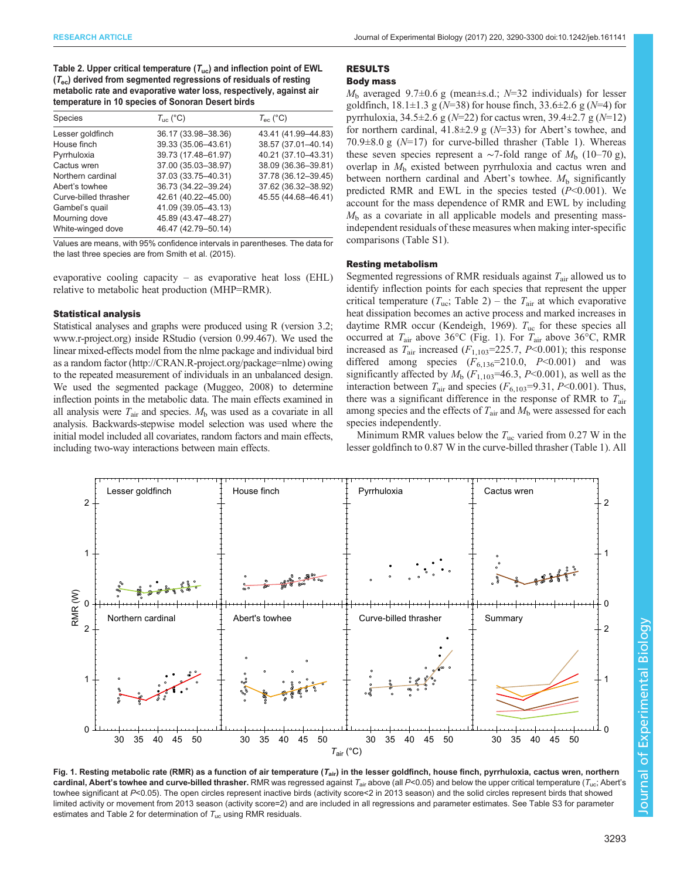<span id="page-3-0"></span>Table 2. Upper critical temperature  $(T_{uc})$  and inflection point of EWL  $(T_{\text{ec}})$  derived from segmented regressions of residuals of resting metabolic rate and evaporative water loss, respectively, against air temperature in 10 species of Sonoran Desert birds

| <b>Species</b>        | $T_{\text{inc}}$ (°C) | $T_{\text{ec}}$ (°C) |
|-----------------------|-----------------------|----------------------|
| Lesser goldfinch      | 36.17 (33.98-38.36)   | 43.41 (41.99-44.83)  |
| House finch           | 39.33 (35.06-43.61)   | 38.57 (37.01-40.14)  |
| Pyrrhuloxia           | 39.73 (17.48-61.97)   | 40.21 (37.10-43.31)  |
| Cactus wren           | 37.00 (35.03-38.97)   | 38.09 (36.36-39.81)  |
| Northern cardinal     | 37.03 (33.75-40.31)   | 37.78 (36.12-39.45)  |
| Abert's towhee        | 36.73 (34.22-39.24)   | 37.62 (36.32-38.92)  |
| Curve-billed thrasher | 42.61 (40.22-45.00)   | 45.55 (44.68-46.41)  |
| Gambel's quail        | 41.09 (39.05-43.13)   |                      |
| Mourning dove         | 45.89 (43.47-48.27)   |                      |
| White-winged dove     | 46.47 (42.79-50.14)   |                      |

Values are means, with 95% confidence intervals in parentheses. The data for the last three species are from [Smith et al. \(2015\)](#page-10-0).

evaporative cooling capacity – as evaporative heat loss  $(EHL)$ relative to metabolic heat production (MHP=RMR).

## Statistical analysis

Statistical analyses and graphs were produced using R (version 3.2; [www.r-project.org](http://www.r-project.org)) inside RStudio (version 0.99.467). We used the linear mixed-effects model from the nlme package and individual bird as a random factor [\(http://CRAN.R-project.org/package=nlme](http://CRAN.R-project.org/package=nlme)) owing to the repeated measurement of individuals in an unbalanced design. We used the segmented package [\(Muggeo, 2008](#page-10-0)) to determine inflection points in the metabolic data. The main effects examined in all analysis were  $T_{\text{air}}$  and species.  $M_{\text{b}}$  was used as a covariate in all analysis. Backwards-stepwise model selection was used where the initial model included all covariates, random factors and main effects, including two-way interactions between main effects.

# RESULTS

# Body mass

 $M<sub>b</sub>$  averaged 9.7 $\pm$ 0.6 g (mean $\pm$ s.d.; N=32 individuals) for lesser goldfinch,  $18.1 \pm 1.3$  g (N=38) for house finch,  $33.6 \pm 2.6$  g (N=4) for pyrrhuloxia,  $34.5 \pm 2.6$  g ( $N=22$ ) for cactus wren,  $39.4 \pm 2.7$  g ( $N=12$ ) for northern cardinal,  $41.8 \pm 2.9$  g ( $N=33$ ) for Abert's towhee, and 70.9 $\pm$ 8.0 g (N=17) for curve-billed thrasher [\(Table 1](#page-2-0)). Whereas these seven species represent a ∼7-fold range of  $M<sub>b</sub>$  (10–70 g), overlap in  $M<sub>b</sub>$  existed between pyrrhuloxia and cactus wren and between northern cardinal and Abert's towhee.  $M<sub>b</sub>$  significantly predicted RMR and EWL in the species tested  $(P<0.001)$ . We account for the mass dependence of RMR and EWL by including  $M<sub>b</sub>$  as a covariate in all applicable models and presenting massindependent residuals of these measures when making inter-specific comparisons [\(Table S1](http://jeb.biologists.org/lookup/doi/10.1242/jeb.161141.supplemental)).

#### Resting metabolism

Segmented regressions of RMR residuals against  $T_{\text{air}}$  allowed us to identify inflection points for each species that represent the upper critical temperature  $(T_{\text{uc}};$  Table 2) – the  $T_{\text{air}}$  at which evaporative heat dissipation becomes an active process and marked increases in daytime RMR occur ([Kendeigh, 1969\)](#page-9-0).  $T_{\text{uc}}$  for these species all occurred at  $T_{\text{air}}$  above 36°C (Fig. 1). For  $T_{\text{air}}$  above 36°C, RMR increased as  $T_{\text{air}}$  increased ( $F_{1,103}$ =225.7, P<0.001); this response differed among species  $(F_{6,136}=210.0, P<0.001)$  and was significantly affected by  $M_b$  ( $F_{1,103}$ =46.3, P<0.001), as well as the interaction between  $T_{\text{air}}$  and species ( $F_{6,103}$ =9.31, P<0.001). Thus, there was a significant difference in the response of RMR to  $T_{\text{air}}$ among species and the effects of  $T_{\text{air}}$  and  $M_{\text{b}}$  were assessed for each species independently.

Minimum RMR values below the  $T_{\text{uc}}$  varied from 0.27 W in the lesser goldfinch to 0.87 W in the curve-billed thrasher ([Table 1\)](#page-2-0). All



Fig. 1. Resting metabolic rate (RMR) as a function of air temperature ( $T_{air}$ ) in the lesser goldfinch, house finch, pyrrhuloxia, cactus wren, northern cardinal, Abert's towhee and curve-billed thrasher. RMR was regressed against  $T_{air}$  above (all P<0.05) and below the upper critical temperature ( $T_{uc}$ ; Abert's towhee significant at P<0.05). The open circles represent inactive birds (activity score<2 in 2013 season) and the solid circles represent birds that showed limited activity or movement from 2013 season (activity score=2) and are included in all regressions and parameter estimates. See [Table S3](http://jeb.biologists.org/lookup/doi/10.1242/jeb.161141.supplemental) for parameter estimates and Table 2 for determination of  $T_{\text{uc}}$  using RMR residuals.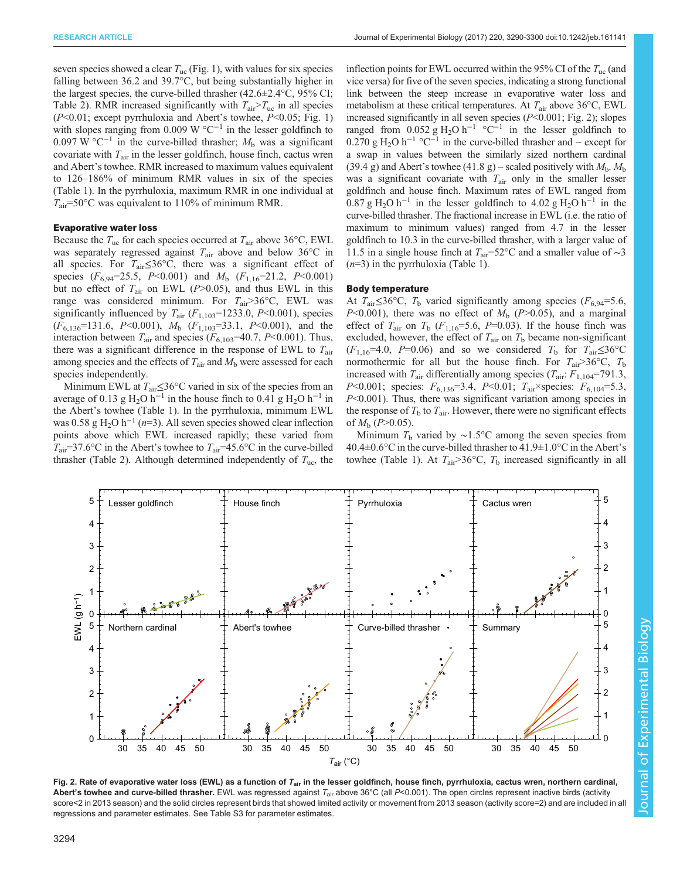seven species showed a clear  $T_{\text{uc}}$  [\(Fig. 1](#page-3-0)), with values for six species falling between 36.2 and 39.7°C, but being substantially higher in the largest species, the curve-billed thrasher  $(42.6 \pm 2.4 \degree C, 95\% \text{ CI};$ [Table 2\)](#page-3-0). RMR increased significantly with  $T_{air} > T_{uc}$  in all species  $(P<0.01$ ; except pyrrhuloxia and Abert's towhee,  $P<0.05$ ; [Fig. 1\)](#page-3-0) with slopes ranging from 0.009 W  $^{\circ}C^{-1}$  in the lesser goldfinch to 0.097 W °C<sup>-1</sup> in the curve-billed thrasher;  $M<sub>b</sub>$  was a significant covariate with  $T_{\text{air}}$  in the lesser goldfinch, house finch, cactus wren and Abert's towhee. RMR increased to maximum values equivalent to 126–186% of minimum RMR values in six of the species [\(Table 1\)](#page-2-0). In the pyrrhuloxia, maximum RMR in one individual at  $T_{\text{air}}$ =50°C was equivalent to 110% of minimum RMR.

## Evaporative water loss

Because the  $T_{\text{uc}}$  for each species occurred at  $T_{\text{air}}$  above 36°C, EWL was separately regressed against  $T_{\text{air}}$  above and below 36°C in all species. For  $T_{\text{air}} \leq 36^{\circ}\text{C}$ , there was a significant effect of species  $(F_{6,94}=25.5, P<0.001)$  and  $M_b$   $(F_{1,16}=21.2, P<0.001)$ but no effect of  $T_{\text{air}}$  on EWL (P>0.05), and thus EWL in this range was considered minimum. For  $T_{\text{air}} > 36^{\circ} \text{C}$ , EWL was significantly influenced by  $T_{\text{air}}$  ( $F_{1,103}$ =1233.0,  $P$ <0.001), species  $(F_{6,136}=131.6, P<0.001), M_b (F_{1,103}=33.1, P<0.001),$  and the interaction between  $T_{\text{air}}$  and species ( $F_{6,103}$ =40.7, P<0.001). Thus, there was a significant difference in the response of EWL to  $T_{\text{air}}$ among species and the effects of  $T_{\text{air}}$  and  $M_{\text{b}}$  were assessed for each species independently.

Minimum EWL at  $T_{\text{air}} \leq 36^{\circ}$ C varied in six of the species from an average of 0.13 g H<sub>2</sub>O h<sup>-1</sup> in the house finch to 0.41 g H<sub>2</sub>O h<sup>-1</sup> in the Abert's towhee [\(Table 1](#page-2-0)). In the pyrrhuloxia, minimum EWL was 0.58 g H<sub>2</sub>O h<sup>-1</sup> (n=3). All seven species showed clear inflection points above which EWL increased rapidly; these varied from  $T_{\text{air}}$ =37.6°C in the Abert's towhee to  $T_{\text{air}}$ =45.6°C in the curve-billed thrasher ([Table 2\)](#page-3-0). Although determined independently of  $T_{\text{uc}}$ , the inflection points for EWL occurred within the 95% CI of the  $T_{\text{uc}}$  (and vice versa) for five of the seven species, indicating a strong functional link between the steep increase in evaporative water loss and metabolism at these critical temperatures. At  $T_{\text{air}}$  above 36°C, EWL increased significantly in all seven species  $(P<0.001; Fig. 2)$ ; slopes ranged from 0.052 g H<sub>2</sub>O h<sup>-1</sup> °C<sup>-1</sup> in the lesser goldfinch to  $0.270$  g H<sub>2</sub>O h<sup>-1</sup> °C<sup>-1</sup> in the curve-billed thrasher and – except for a swap in values between the similarly sized northern cardinal (39.4 g) and Abert's towhee (41.8 g) – scaled positively with  $M_{\rm b}$ .  $M_{\rm b}$ was a significant covariate with  $T_{\text{air}}$  only in the smaller lesser goldfinch and house finch. Maximum rates of EWL ranged from  $0.87 \text{ g H}_2\text{O h}^{-1}$  in the lesser goldfinch to  $4.02 \text{ g H}_2\text{O h}^{-1}$  in the curve-billed thrasher. The fractional increase in EWL (i.e. the ratio of maximum to minimum values) ranged from 4.7 in the lesser goldfinch to 10.3 in the curve-billed thrasher, with a larger value of 11.5 in a single house finch at  $T_{air}$ =52°C and a smaller value of ~3  $(n=3)$  in the pyrrhuloxia [\(Table 1\)](#page-2-0).

#### Body temperature

At  $T_{\text{air}} \leq 36^{\circ}\text{C}$ ,  $T_{\text{b}}$  varied significantly among species ( $F_{6,94} = 5.6$ ,  $P<0.001$ ), there was no effect of  $M<sub>b</sub>$  ( $P>0.05$ ), and a marginal effect of  $T_{\text{air}}$  on  $T_b$  ( $F_{1,16} = 5.6$ ,  $P = 0.03$ ). If the house finch was excluded, however, the effect of  $T_{\text{air}}$  on  $T_{\text{b}}$  became non-significant  $(F_{1,16}=4.0, P=0.06)$  and so we considered  $T_b$  for  $T_{air} \le 36^{\circ}$ C normothermic for all but the house finch. For  $T_{\text{air}} > 36^{\circ}$ C,  $T_{\text{b}}$ increased with  $T_{\text{air}}$  differentially among species  $(T_{\text{air}}$ :  $F_{1,104}$ =791.3, P<0.001; species:  $F_{6,136}$ =3.4, P<0.01;  $T_{air}$ ×species:  $F_{6,104}$ =5.3,  $P<0.001$ ). Thus, there was significant variation among species in the response of  $T<sub>b</sub>$  to  $T<sub>air</sub>$ . However, there were no significant effects of  $M<sub>b</sub>$  (P>0.05).

Minimum  $T_b$  varied by ~1.5°C among the seven species from  $40.4\pm0.6\degree$ C in the curve-billed thrasher to  $41.9\pm1.0\degree$ C in the Abert's towhee ([Table 1\)](#page-2-0). At  $T_{\text{air}} > 36^{\circ}\text{C}$ ,  $T_{\text{b}}$  increased significantly in all



Fig. 2. Rate of evaporative water loss (EWL) as a function of T<sub>air</sub> in the lesser goldfinch, house finch, pyrrhuloxia, cactus wren, northern cardinal, Abert's towhee and curve-billed thrasher. EWL was regressed against  $T_{air}$  above 36°C (all P<0.001). The open circles represent inactive birds (activity score<2 in 2013 season) and the solid circles represent birds that showed limited activity or movement from 2013 season (activity score=2) and are included in all regressions and parameter estimates. See [Table S3](http://jeb.biologists.org/lookup/doi/10.1242/jeb.161141.supplemental) for parameter estimates.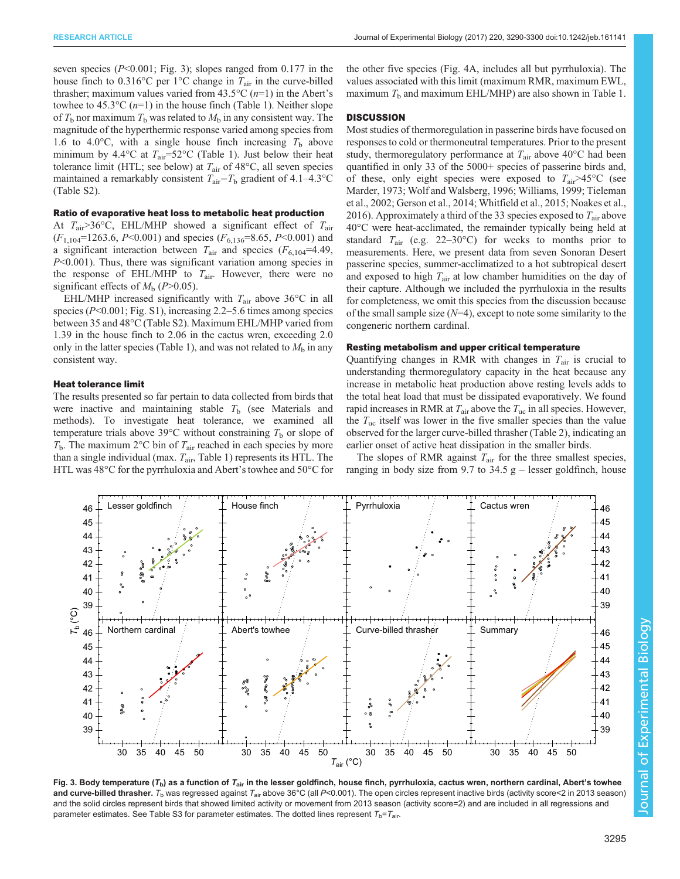seven species  $(P<0.001$ ; Fig. 3); slopes ranged from 0.177 in the house finch to 0.316°C per 1°C change in  $T_{\text{air}}$  in the curve-billed thrasher; maximum values varied from  $43.5^{\circ}C(n=1)$  in the Abert's towhee to 45.3°C  $(n=1)$  in the house finch [\(Table 1\)](#page-2-0). Neither slope of  $T_b$  nor maximum  $T_b$  was related to  $M_b$  in any consistent way. The magnitude of the hyperthermic response varied among species from 1.6 to 4.0°C, with a single house finch increasing  $T<sub>b</sub>$  above minimum by 4.4 $\rm{°C}$  at  $T_{\rm air}$ =52 $\rm{°C}$  ([Table 1](#page-2-0)). Just below their heat tolerance limit (HTL; see below) at  $T_{\text{air}}$  of 48 $\textdegree$ C, all seven species maintained a remarkably consistent  $T_{\text{air}}-T_{\text{b}}$  gradient of 4.1–4.3°C [\(Table S2\)](http://jeb.biologists.org/lookup/doi/10.1242/jeb.161141.supplemental).

## Ratio of evaporative heat loss to metabolic heat production

At  $T_{\text{air}}$ >36°C, EHL/MHP showed a significant effect of  $T_{\text{air}}$  $(F_{1,104}$ =1263.6, P<0.001) and species  $(F_{6,136}$ =8.65, P<0.001) and a significant interaction between  $T_{\text{air}}$  and species  $(F_{6,104} = 4.49)$ , P<0.001). Thus, there was significant variation among species in the response of EHL/MHP to  $T_{\text{air}}$ . However, there were no significant effects of  $M_b$  (P>0.05).

EHL/MHP increased significantly with  $T_{\text{air}}$  above 36°C in all species ( $P<0.001$ ; [Fig. S1](http://jeb.biologists.org/lookup/doi/10.1242/jeb.161141.supplemental)), increasing 2.2–5.6 times among species between 35 and 48°C [\(Table S2](http://jeb.biologists.org/lookup/doi/10.1242/jeb.161141.supplemental)). Maximum EHL/MHP varied from 1.39 in the house finch to 2.06 in the cactus wren, exceeding 2.0 only in the latter species ([Table 1\)](#page-2-0), and was not related to  $M<sub>b</sub>$  in any consistent way.

# Heat tolerance limit

The results presented so far pertain to data collected from birds that were inactive and maintaining stable  $T<sub>b</sub>$  (see Materials and methods). To investigate heat tolerance, we examined all temperature trials above 39 $\degree$ C without constraining  $T_b$  or slope of  $T<sub>b</sub>$ . The maximum 2°C bin of  $T<sub>air</sub>$  reached in each species by more than a single individual (max.  $T_{\text{air}}$ , [Table 1\)](#page-2-0) represents its HTL. The HTL was 48°C for the pyrrhuloxia and Abert's towhee and 50°C for the other five species ([Fig. 4](#page-6-0)A, includes all but pyrrhuloxia). The values associated with this limit (maximum RMR, maximum EWL, maximum  $T<sub>b</sub>$  and maximum EHL/MHP) are also shown in [Table 1.](#page-2-0)

## **DISCUSSION**

Most studies of thermoregulation in passerine birds have focused on responses to cold or thermoneutral temperatures. Prior to the present study, thermoregulatory performance at  $T_{\text{air}}$  above 40 $\degree$ C had been quantified in only 33 of the 5000+ species of passerine birds and, of these, only eight species were exposed to  $T_{\text{air}} > 45^{\circ}\text{C}$  (see [Marder, 1973; Wolf and Walsberg, 1996](#page-10-0); [Williams, 1999](#page-10-0); [Tieleman](#page-10-0) [et al., 2002;](#page-10-0) [Gerson et al., 2014;](#page-9-0) [Whitfield et al., 2015; Noakes et al.,](#page-10-0) [2016\)](#page-10-0). Approximately a third of the 33 species exposed to  $T_{\text{air}}$  above 40°C were heat-acclimated, the remainder typically being held at standard  $T_{\text{air}}$  (e.g. 22–30°C) for weeks to months prior to measurements. Here, we present data from seven Sonoran Desert passerine species, summer-acclimatized to a hot subtropical desert and exposed to high  $T_{\text{air}}$  at low chamber humidities on the day of their capture. Although we included the pyrrhuloxia in the results for completeness, we omit this species from the discussion because of the small sample size  $(N=4)$ , except to note some similarity to the congeneric northern cardinal.

## Resting metabolism and upper critical temperature

Quantifying changes in RMR with changes in  $T_{\text{air}}$  is crucial to understanding thermoregulatory capacity in the heat because any increase in metabolic heat production above resting levels adds to the total heat load that must be dissipated evaporatively. We found rapid increases in RMR at  $T_{\text{air}}$  above the  $T_{\text{uc}}$  in all species. However, the  $T_{\text{uc}}$  itself was lower in the five smaller species than the value observed for the larger curve-billed thrasher [\(Table 2](#page-3-0)), indicating an earlier onset of active heat dissipation in the smaller birds.

The slopes of RMR against  $T_{\text{air}}$  for the three smallest species, ranging in body size from 9.7 to  $34.5$  g – lesser goldfinch, house

Fig. 3. Body temperature ( $T_{\rm b}$ ) as a function of  $T_{\rm air}$  in the lesser goldfinch, house finch, pyrrhuloxia, cactus wren, northern cardinal, Abert's towhee and curve-billed thrasher.  $T_{\rm b}$  was regressed against  $T_{\rm air}$  above 36°C (all P<0.001). The open circles represent inactive birds (activity score<2 in 2013 season) and the solid circles represent birds that showed limited activity or movement from 2013 season (activity score=2) and are included in all regressions and parameter estimates. See [Table S3](http://jeb.biologists.org/lookup/doi/10.1242/jeb.161141.supplemental) for parameter estimates. The dotted lines represent  $T_b = T_{air}$ .

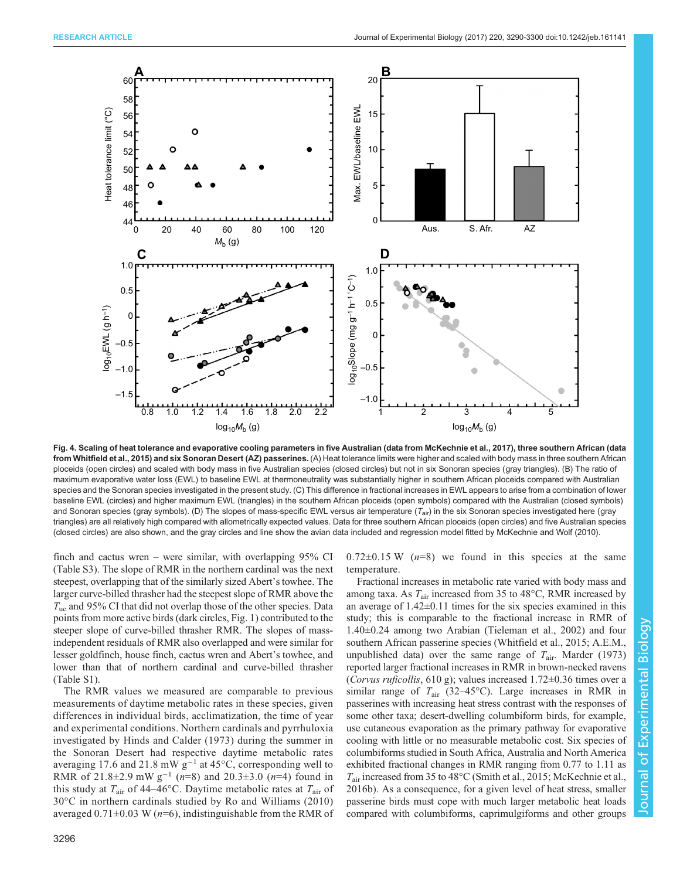<span id="page-6-0"></span>

Fig. 4. Scaling of heat tolerance and evaporative cooling parameters in five Australian (data from [McKechnie et al., 2017](#page-10-0)), three southern African (data from [Whitfield et al., 2015\)](#page-10-0) and six Sonoran Desert (AZ) passerines. (A) Heat tolerance limits were higher and scaled with body mass in three southern African ploceids (open circles) and scaled with body mass in five Australian species (closed circles) but not in six Sonoran species (gray triangles). (B) The ratio of maximum evaporative water loss (EWL) to baseline EWL at thermoneutrality was substantially higher in southern African ploceids compared with Australian species and the Sonoran species investigated in the present study. (C) This difference in fractional increases in EWL appears to arise from a combination of lower baseline EWL (circles) and higher maximum EWL (triangles) in the southern African ploceids (open symbols) compared with the Australian (closed symbols) and Sonoran species (gray symbols). (D) The slopes of mass-specific EWL versus air temperature (T<sub>air</sub>) in the six Sonoran species investigated here (gray triangles) are all relatively high compared with allometrically expected values. Data for three southern African ploceids (open circles) and five Australian species (closed circles) are also shown, and the gray circles and line show the avian data included and regression model fitted by [McKechnie and Wolf \(2010\).](#page-10-0)

finch and cactus wren – were similar, with overlapping 95% CI [\(Table S3](http://jeb.biologists.org/lookup/doi/10.1242/jeb.161141.supplemental)). The slope of RMR in the northern cardinal was the next steepest, overlapping that of the similarly sized Abert's towhee. The larger curve-billed thrasher had the steepest slope of RMR above the  $T_{\text{nc}}$  and 95% CI that did not overlap those of the other species. Data points from more active birds (dark circles, [Fig. 1\)](#page-3-0) contributed to the steeper slope of curve-billed thrasher RMR. The slopes of massindependent residuals of RMR also overlapped and were similar for lesser goldfinch, house finch, cactus wren and Abert's towhee, and lower than that of northern cardinal and curve-billed thrasher [\(Table S1\)](http://jeb.biologists.org/lookup/doi/10.1242/jeb.161141.supplemental).

The RMR values we measured are comparable to previous measurements of daytime metabolic rates in these species, given differences in individual birds, acclimatization, the time of year and experimental conditions. Northern cardinals and pyrrhuloxia investigated by [Hinds and Calder \(1973\)](#page-9-0) during the summer in the Sonoran Desert had respective daytime metabolic rates averaging 17.6 and 21.8 mW  $g^{-1}$  at 45°C, corresponding well to RMR of 21.8±2.9 mW  $g^{-1}$  (n=8) and 20.3±3.0 (n=4) found in this study at  $T_{\text{air}}$  of 44–46°C. Daytime metabolic rates at  $T_{\text{air}}$  of 30°C in northern cardinals studied by [Ro and Williams \(2010\)](#page-10-0) averaged  $0.71\pm0.03$  W ( $n=6$ ), indistinguishable from the RMR of  $0.72\pm0.15$  W ( $n=8$ ) we found in this species at the same temperature.

Fractional increases in metabolic rate varied with body mass and among taxa. As  $T_{\text{air}}$  increased from 35 to 48 $^{\circ}$ C, RMR increased by an average of  $1.42\pm0.11$  times for the six species examined in this study; this is comparable to the fractional increase in RMR of 1.40±0.24 among two Arabian [\(Tieleman et al., 2002\)](#page-10-0) and four southern African passerine species ([Whitfield et al., 2015](#page-10-0); A.E.M., unpublished data) over the same range of  $T_{\text{air}}$ . [Marder \(1973\)](#page-10-0) reported larger fractional increases in RMR in brown-necked ravens (Corvus ruficollis, 610 g); values increased  $1.72\pm0.36$  times over a similar range of  $T_{\text{air}}$  (32–45°C). Large increases in RMR in passerines with increasing heat stress contrast with the responses of some other taxa; desert-dwelling columbiform birds, for example, use cutaneous evaporation as the primary pathway for evaporative cooling with little or no measurable metabolic cost. Six species of columbiforms studied in South Africa, Australia and North America exhibited fractional changes in RMR ranging from 0.77 to 1.11 as  $T_{\text{air}}$  increased from 35 to 48°C [\(Smith et al., 2015; McKechnie et al.,](#page-10-0) [2016b\)](#page-10-0). As a consequence, for a given level of heat stress, smaller passerine birds must cope with much larger metabolic heat loads compared with columbiforms, caprimulgiforms and other groups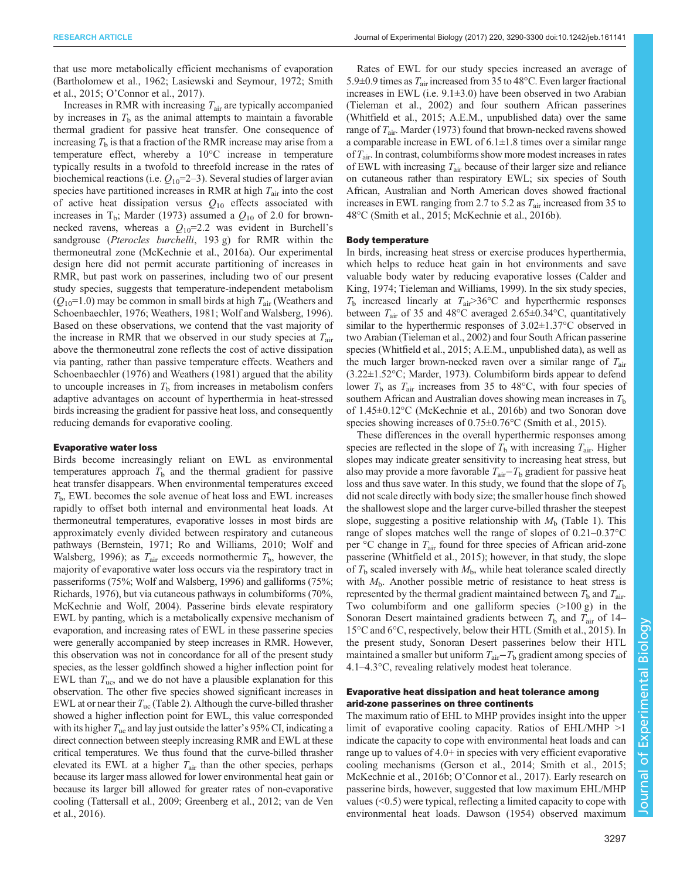that use more metabolically efficient mechanisms of evaporation [\(Bartholomew et al., 1962](#page-9-0); [Lasiewski and Seymour, 1972; Smith](#page-10-0) [et al., 2015;](#page-10-0) O'[Connor et al., 2017\)](#page-10-0).

Increases in RMR with increasing  $T_{\text{air}}$  are typically accompanied by increases in  $T<sub>b</sub>$  as the animal attempts to maintain a favorable thermal gradient for passive heat transfer. One consequence of increasing  $T<sub>b</sub>$  is that a fraction of the RMR increase may arise from a temperature effect, whereby a 10°C increase in temperature typically results in a twofold to threefold increase in the rates of biochemical reactions (i.e.  $Q_{10}$ =2–3). Several studies of larger avian species have partitioned increases in RMR at high  $T_{\text{air}}$  into the cost of active heat dissipation versus  $Q_{10}$  effects associated with increases in  $T_b$ ; [Marder \(1973\)](#page-10-0) assumed a  $Q_{10}$  of 2.0 for brownnecked ravens, whereas a  $Q_{10}$ =2.2 was evident in Burchell's sandgrouse (Pterocles burchelli, 193 g) for RMR within the thermoneutral zone [\(McKechnie et al., 2016a](#page-10-0)). Our experimental design here did not permit accurate partitioning of increases in RMR, but past work on passerines, including two of our present study species, suggests that temperature-independent metabolism  $(Q_{10}=1.0)$  may be common in small birds at high  $T_{\text{air}}$  [\(Weathers and](#page-10-0) [Schoenbaechler, 1976](#page-10-0); [Weathers, 1981](#page-10-0); [Wolf and Walsberg, 1996\)](#page-10-0). Based on these observations, we contend that the vast majority of the increase in RMR that we observed in our study species at  $T_{\text{air}}$ above the thermoneutral zone reflects the cost of active dissipation via panting, rather than passive temperature effects. [Weathers and](#page-10-0) [Schoenbaechler \(1976\)](#page-10-0) and [Weathers \(1981\)](#page-10-0) argued that the ability to uncouple increases in  $T<sub>b</sub>$  from increases in metabolism confers adaptive advantages on account of hyperthermia in heat-stressed birds increasing the gradient for passive heat loss, and consequently reducing demands for evaporative cooling.

#### Evaporative water loss

Birds become increasingly reliant on EWL as environmental temperatures approach  $T<sub>b</sub>$  and the thermal gradient for passive heat transfer disappears. When environmental temperatures exceed  $T<sub>b</sub>$ , EWL becomes the sole avenue of heat loss and EWL increases rapidly to offset both internal and environmental heat loads. At thermoneutral temperatures, evaporative losses in most birds are approximately evenly divided between respiratory and cutaneous pathways ([Bernstein, 1971;](#page-9-0) [Ro and Williams, 2010](#page-10-0); [Wolf and](#page-10-0) [Walsberg, 1996\)](#page-10-0); as  $T_{\text{air}}$  exceeds normothermic  $T_{\text{b}}$ , however, the majority of evaporative water loss occurs via the respiratory tract in passeriforms (75%; [Wolf and Walsberg, 1996\)](#page-10-0) and galliforms (75%; [Richards, 1976\)](#page-10-0), but via cutaneous pathways in columbiforms (70%, [McKechnie and Wolf, 2004](#page-10-0)). Passerine birds elevate respiratory EWL by panting, which is a metabolically expensive mechanism of evaporation, and increasing rates of EWL in these passerine species were generally accompanied by steep increases in RMR. However, this observation was not in concordance for all of the present study species, as the lesser goldfinch showed a higher inflection point for EWL than  $T_{\text{uc}}$ , and we do not have a plausible explanation for this observation. The other five species showed significant increases in EWL at or near their  $T_{\text{uc}}$  [\(Table 2\)](#page-3-0). Although the curve-billed thrasher showed a higher inflection point for EWL, this value corresponded with its higher  $T_{uc}$  and lay just outside the latter's 95% CI, indicating a direct connection between steeply increasing RMR and EWL at these critical temperatures. We thus found that the curve-billed thrasher elevated its EWL at a higher  $T_{\text{air}}$  than the other species, perhaps because its larger mass allowed for lower environmental heat gain or because its larger bill allowed for greater rates of non-evaporative cooling ([Tattersall et al., 2009](#page-10-0); [Greenberg et al., 2012;](#page-9-0) [van de Ven](#page-10-0) [et al., 2016\)](#page-10-0).

Rates of EWL for our study species increased an average of 5.9 $\pm$ 0.9 times as  $T_{air}$  increased from 35 to 48°C. Even larger fractional increases in EWL (i.e. 9.1±3.0) have been observed in two Arabian [\(Tieleman et al., 2002](#page-10-0)) and four southern African passerines [\(Whitfield et al., 2015](#page-10-0); A.E.M., unpublished data) over the same range of  $T_{\text{air}}$ . [Marder \(1973\)](#page-10-0) found that brown-necked ravens showed a comparable increase in EWL of  $6.1 \pm 1.8$  times over a similar range of  $T_{\text{air}}$ . In contrast, columbiforms show more modest increases in rates of EWL with increasing  $T_{\text{air}}$  because of their larger size and reliance on cutaneous rather than respiratory EWL; six species of South African, Australian and North American doves showed fractional increases in EWL ranging from 2.7 to 5.2 as  $T_{air}$  increased from 35 to 48°C ([Smith et al., 2015](#page-10-0); [McKechnie et al., 2016b](#page-10-0)).

## Body temperature

In birds, increasing heat stress or exercise produces hyperthermia, which helps to reduce heat gain in hot environments and save valuable body water by reducing evaporative losses ([Calder and](#page-9-0) [King, 1974;](#page-9-0) [Tieleman and Williams, 1999](#page-10-0)). In the six study species,  $T<sub>b</sub>$  increased linearly at  $T<sub>air</sub> > 36$ °C and hyperthermic responses between  $T_{\text{air}}$  of 35 and 48°C averaged 2.65±0.34°C, quantitatively similar to the hyperthermic responses of 3.02±1.37°C observed in two Arabian [\(Tieleman et al., 2002\)](#page-10-0) and four South African passerine species ([Whitfield et al., 2015;](#page-10-0) A.E.M., unpublished data), as well as the much larger brown-necked raven over a similar range of  $T_{\text{air}}$ (3.22±1.52°C; [Marder, 1973\)](#page-10-0). Columbiform birds appear to defend lower  $T_{\rm b}$  as  $T_{\rm air}$  increases from 35 to 48°C, with four species of southern African and Australian doves showing mean increases in  $T<sub>b</sub>$ of 1.45±0.12°C [\(McKechnie et al., 2016b\)](#page-10-0) and two Sonoran dove species showing increases of  $0.75 \pm 0.76$ °C ([Smith et al., 2015](#page-10-0)).

These differences in the overall hyperthermic responses among species are reflected in the slope of  $T<sub>b</sub>$  with increasing  $T<sub>air</sub>$ . Higher slopes may indicate greater sensitivity to increasing heat stress, but also may provide a more favorable  $T_{\text{air}}-T_{\text{b}}$  gradient for passive heat loss and thus save water. In this study, we found that the slope of  $T<sub>b</sub>$ did not scale directly with body size; the smaller house finch showed the shallowest slope and the larger curve-billed thrasher the steepest slope, suggesting a positive relationship with  $M<sub>b</sub>$  ([Table 1](#page-2-0)). This range of slopes matches well the range of slopes of 0.21–0.37°C per  $\degree$ C change in  $T_{\text{air}}$  found for three species of African arid-zone passerine ([Whitfield et al., 2015\)](#page-10-0); however, in that study, the slope of  $T<sub>b</sub>$  scaled inversely with  $M<sub>b</sub>$ , while heat tolerance scaled directly with  $M<sub>b</sub>$ . Another possible metric of resistance to heat stress is represented by the thermal gradient maintained between  $T<sub>b</sub>$  and  $T<sub>air</sub>$ . Two columbiform and one galliform species  $(>100 \text{ g})$  in the Sonoran Desert maintained gradients between  $T<sub>b</sub>$  and  $T<sub>air</sub>$  of 14– 15°C and 6°C, respectively, below their HTL ([Smith et al., 2015\)](#page-10-0). In the present study, Sonoran Desert passerines below their HTL maintained a smaller but uniform  $T_{\text{air}}-T_{\text{b}}$  gradient among species of 4.1–4.3°C, revealing relatively modest heat tolerance.

# Evaporative heat dissipation and heat tolerance among arid-zone passerines on three continents

The maximum ratio of EHL to MHP provides insight into the upper limit of evaporative cooling capacity. Ratios of EHL/MHP >1 indicate the capacity to cope with environmental heat loads and can range up to values of 4.0+ in species with very efficient evaporative cooling mechanisms ([Gerson et al., 2014](#page-9-0); [Smith et al., 2015](#page-10-0); [McKechnie et al., 2016b;](#page-10-0) O'[Connor et al., 2017](#page-10-0)). Early research on passerine birds, however, suggested that low maximum EHL/MHP values  $( $0.5$ ) were typical, reflecting a limited capacity to cope with$ environmental heat loads. [Dawson \(1954\)](#page-9-0) observed maximum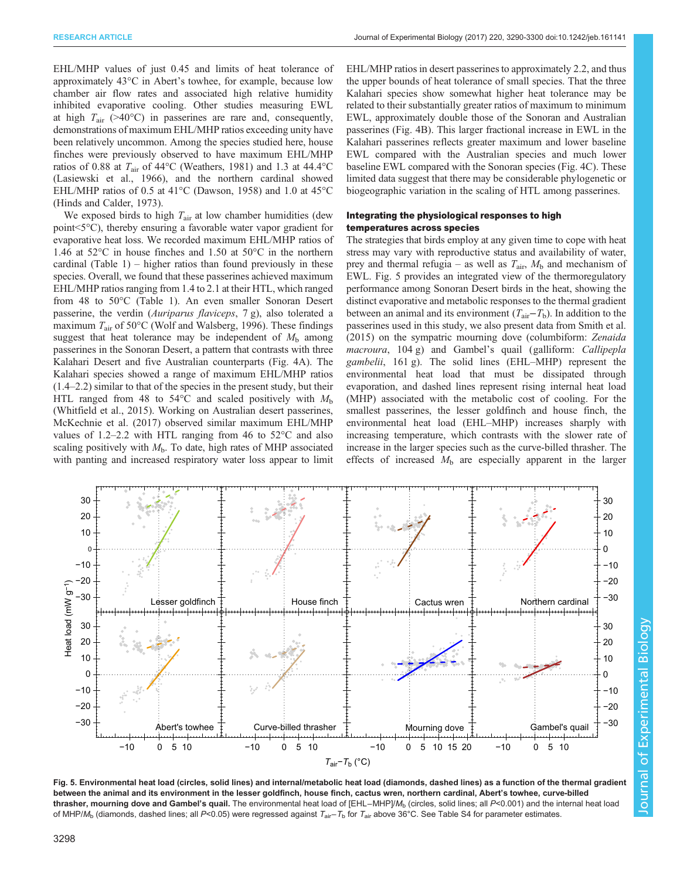EHL/MHP values of just 0.45 and limits of heat tolerance of approximately 43°C in Abert's towhee, for example, because low chamber air flow rates and associated high relative humidity inhibited evaporative cooling. Other studies measuring EWL at high  $T_{\text{air}}$  (>40°C) in passerines are rare and, consequently, demonstrations of maximum EHL/MHP ratios exceeding unity have been relatively uncommon. Among the species studied here, house finches were previously observed to have maximum EHL/MHP ratios of 0.88 at  $T_{\text{air}}$  of 44°C [\(Weathers, 1981\)](#page-10-0) and 1.3 at 44.4°C [\(Lasiewski et al., 1966\)](#page-10-0), and the northern cardinal showed EHL/MHP ratios of 0.5 at 41°C [\(Dawson, 1958\)](#page-9-0) and 1.0 at 45°C [\(Hinds and Calder, 1973\)](#page-9-0).

We exposed birds to high  $T_{\text{air}}$  at low chamber humidities (dew point<5°C), thereby ensuring a favorable water vapor gradient for evaporative heat loss. We recorded maximum EHL/MHP ratios of 1.46 at 52°C in house finches and 1.50 at 50°C in the northern cardinal ([Table 1](#page-2-0)) – higher ratios than found previously in these species. Overall, we found that these passerines achieved maximum EHL/MHP ratios ranging from 1.4 to 2.1 at their HTL, which ranged from 48 to 50°C ([Table 1\)](#page-2-0). An even smaller Sonoran Desert passerine, the verdin (Auriparus flaviceps, 7 g), also tolerated a maximum  $T_{\text{air}}$  of 50 $^{\circ}$ C ([Wolf and Walsberg, 1996](#page-10-0)). These findings suggest that heat tolerance may be independent of  $M<sub>b</sub>$  among passerines in the Sonoran Desert, a pattern that contrasts with three Kalahari Desert and five Australian counterparts [\(Fig. 4](#page-6-0)A). The Kalahari species showed a range of maximum EHL/MHP ratios (1.4–2.2) similar to that of the species in the present study, but their HTL ranged from 48 to 54°C and scaled positively with  $M_b$ [\(Whitfield et al., 2015\)](#page-10-0). Working on Australian desert passerines, [McKechnie et al. \(2017\)](#page-10-0) observed similar maximum EHL/MHP values of 1.2–2.2 with HTL ranging from 46 to 52°C and also scaling positively with  $M<sub>b</sub>$ . To date, high rates of MHP associated with panting and increased respiratory water loss appear to limit

EHL/MHP ratios in desert passerines to approximately 2.2, and thus the upper bounds of heat tolerance of small species. That the three Kalahari species show somewhat higher heat tolerance may be related to their substantially greater ratios of maximum to minimum EWL, approximately double those of the Sonoran and Australian passerines [\(Fig. 4B](#page-6-0)). This larger fractional increase in EWL in the Kalahari passerines reflects greater maximum and lower baseline EWL compared with the Australian species and much lower baseline EWL compared with the Sonoran species ([Fig. 4](#page-6-0)C). These limited data suggest that there may be considerable phylogenetic or biogeographic variation in the scaling of HTL among passerines.

# Integrating the physiological responses to high temperatures across species

The strategies that birds employ at any given time to cope with heat stress may vary with reproductive status and availability of water, prey and thermal refugia – as well as  $T_{\text{air}}$ ,  $M_{\text{b}}$  and mechanism of EWL. Fig. 5 provides an integrated view of the thermoregulatory performance among Sonoran Desert birds in the heat, showing the distinct evaporative and metabolic responses to the thermal gradient between an animal and its environment ( $T_{\text{air}}-T_{\text{b}}$ ). In addition to the passerines used in this study, we also present data from [Smith et al.](#page-10-0) [\(2015\)](#page-10-0) on the sympatric mourning dove (columbiform: Zenaida macroura, 104 g) and Gambel's quail (galliform: Callipepla gambelii, 161 g). The solid lines (EHL–MHP) represent the environmental heat load that must be dissipated through evaporation, and dashed lines represent rising internal heat load (MHP) associated with the metabolic cost of cooling. For the smallest passerines, the lesser goldfinch and house finch, the environmental heat load (EHL–MHP) increases sharply with increasing temperature, which contrasts with the slower rate of increase in the larger species such as the curve-billed thrasher. The effects of increased  $M<sub>b</sub>$  are especially apparent in the larger



Fig. 5. Environmental heat load (circles, solid lines) and internal/metabolic heat load (diamonds, dashed lines) as a function of the thermal gradient between the animal and its environment in the lesser goldfinch, house finch, cactus wren, northern cardinal, Abert's towhee, curve-billed thrasher, mourning dove and Gambel's quail. The environmental heat load of [EHL−MHP]/M<sub>b</sub> (circles, solid lines; all P<0.001) and the internal heat load of MHP/M<sub>b</sub> (diamonds, dashed lines; all P<0.05) were regressed against  $T_{air}-T_b$  for  $T_{air}$  above 36°C. See [Table S4](http://jeb.biologists.org/lookup/doi/10.1242/jeb.161141.supplemental) for parameter estimates.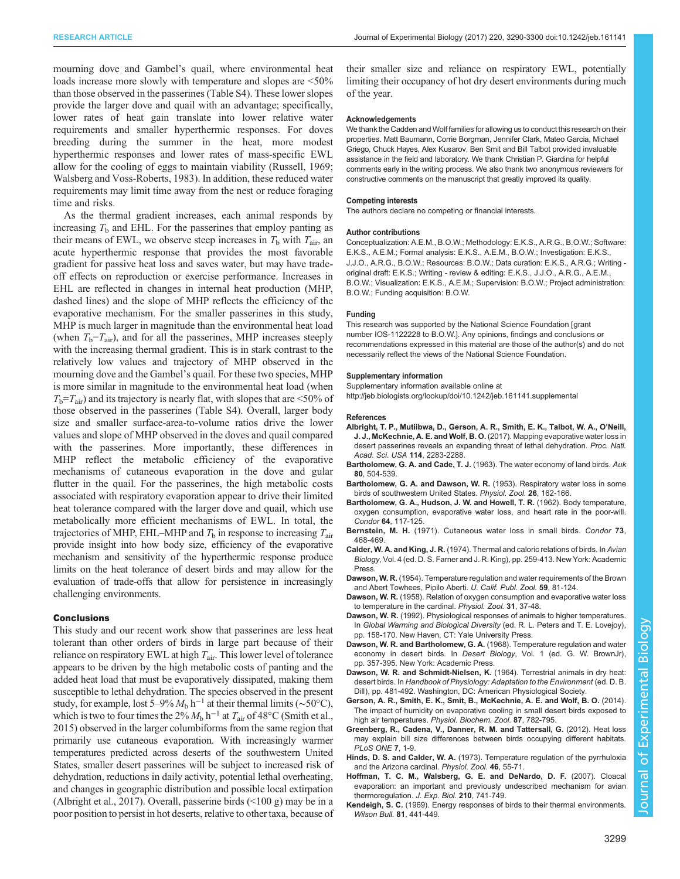<span id="page-9-0"></span>mourning dove and Gambel's quail, where environmental heat loads increase more slowly with temperature and slopes are  $\leq 50\%$ than those observed in the passerines [\(Table S4](http://jeb.biologists.org/lookup/doi/10.1242/jeb.161141.supplemental)). These lower slopes provide the larger dove and quail with an advantage; specifically, lower rates of heat gain translate into lower relative water requirements and smaller hyperthermic responses. For doves breeding during the summer in the heat, more modest hyperthermic responses and lower rates of mass-specific EWL allow for the cooling of eggs to maintain viability [\(Russell, 1969](#page-10-0); [Walsberg and Voss-Roberts, 1983](#page-10-0)). In addition, these reduced water requirements may limit time away from the nest or reduce foraging time and risks.

As the thermal gradient increases, each animal responds by increasing  $T<sub>b</sub>$  and EHL. For the passerines that employ panting as their means of EWL, we observe steep increases in  $T<sub>b</sub>$  with  $T<sub>air</sub>$ , an acute hyperthermic response that provides the most favorable gradient for passive heat loss and saves water, but may have tradeoff effects on reproduction or exercise performance. Increases in EHL are reflected in changes in internal heat production (MHP, dashed lines) and the slope of MHP reflects the efficiency of the evaporative mechanism. For the smaller passerines in this study, MHP is much larger in magnitude than the environmental heat load (when  $T_b = T_{air}$ ), and for all the passerines, MHP increases steeply with the increasing thermal gradient. This is in stark contrast to the relatively low values and trajectory of MHP observed in the mourning dove and the Gambel's quail. For these two species, MHP is more similar in magnitude to the environmental heat load (when  $T<sub>b</sub>=T<sub>air</sub>$ ) and its trajectory is nearly flat, with slopes that are <50% of those observed in the passerines [\(Table S4\)](http://jeb.biologists.org/lookup/doi/10.1242/jeb.161141.supplemental). Overall, larger body size and smaller surface-area-to-volume ratios drive the lower values and slope of MHP observed in the doves and quail compared with the passerines. More importantly, these differences in MHP reflect the metabolic efficiency of the evaporative mechanisms of cutaneous evaporation in the dove and gular flutter in the quail. For the passerines, the high metabolic costs associated with respiratory evaporation appear to drive their limited heat tolerance compared with the larger dove and quail, which use metabolically more efficient mechanisms of EWL. In total, the trajectories of MHP, EHL–MHP and  $T<sub>b</sub>$  in response to increasing  $T<sub>air</sub>$ provide insight into how body size, efficiency of the evaporative mechanism and sensitivity of the hyperthermic response produce limits on the heat tolerance of desert birds and may allow for the evaluation of trade-offs that allow for persistence in increasingly challenging environments.

#### **Conclusions**

This study and our recent work show that passerines are less heat tolerant than other orders of birds in large part because of their reliance on respiratory EWL at high  $T_{air}$ . This lower level of tolerance appears to be driven by the high metabolic costs of panting and the added heat load that must be evaporatively dissipated, making them susceptible to lethal dehydration. The species observed in the present study, for example, lost 5–9%  $M_b$  h<sup>-1</sup> at their thermal limits (~50°C), which is two to four times the 2%  $M<sub>b</sub>$  h<sup>-1</sup> at  $T<sub>air</sub>$  of 48°C [\(Smith et al.,](#page-10-0) [2015\)](#page-10-0) observed in the larger columbiforms from the same region that primarily use cutaneous evaporation. With increasingly warmer temperatures predicted across deserts of the southwestern United States, smaller desert passerines will be subject to increased risk of dehydration, reductions in daily activity, potential lethal overheating, and changes in geographic distribution and possible local extirpation (Albright et al., 2017). Overall, passerine birds  $($ ( $100 \text{ g}$ ) may be in a poor position to persist in hot deserts, relative to other taxa, because of

their smaller size and reliance on respiratory EWL, potentially limiting their occupancy of hot dry desert environments during much of the year.

#### Acknowledgements

We thank the Cadden and Wolf families for allowing us to conduct this research on their properties. Matt Baumann, Corrie Borgman, Jennifer Clark, Mateo Garcia, Michael Griego, Chuck Hayes, Alex Kusarov, Ben Smit and Bill Talbot provided invaluable assistance in the field and laboratory. We thank Christian P. Giardina for helpful comments early in the writing process. We also thank two anonymous reviewers for constructive comments on the manuscript that greatly improved its quality.

#### Competing interests

The authors declare no competing or financial interests.

#### Author contributions

Conceptualization: A.E.M., B.O.W.; Methodology: E.K.S., A.R.G., B.O.W.; Software: E.K.S., A.E.M.; Formal analysis: E.K.S., A.E.M., B.O.W.; Investigation: E.K.S., J.J.O., A.R.G., B.O.W.; Resources: B.O.W.; Data curation: E.K.S., A.R.G.; Writing original draft: E.K.S.; Writing - review & editing: E.K.S., J.J.O., A.R.G., A.E.M., B.O.W.; Visualization: E.K.S., A.E.M.; Supervision: B.O.W.; Project administration: B.O.W.; Funding acquisition: B.O.W.

#### Funding

This research was supported by the National Science Foundation [grant number IOS-1122228 to B.O.W.]. Any opinions, findings and conclusions or recommendations expressed in this material are those of the author(s) and do not necessarily reflect the views of the National Science Foundation.

#### Supplementary information

Supplementary information available online at <http://jeb.biologists.org/lookup/doi/10.1242/jeb.161141.supplemental>

#### References

- [Albright, T. P., Mutiibwa, D., Gerson, A. R., Smith, E. K., Talbot, W. A., O](http://dx.doi.org/10.1073/pnas.1613625114)'Neill, J. J., McKechnie, A. E. and Wolf, B. O. [\(2017\). Mapping evaporative water loss in](http://dx.doi.org/10.1073/pnas.1613625114) [desert passerines reveals an expanding threat of lethal dehydration.](http://dx.doi.org/10.1073/pnas.1613625114) Proc. Natl. [Acad. Sci. USA](http://dx.doi.org/10.1073/pnas.1613625114) 114, 2283-2288.
- Bartholomew, G. A. and Cade, T. J. [\(1963\). The water economy of land birds.](http://dx.doi.org/10.2307/4082856) Auk 80[, 504-539.](http://dx.doi.org/10.2307/4082856)
- [Bartholomew, G. A. and Dawson, W. R.](http://dx.doi.org/10.1086/physzool.26.2.30154512) (1953). Respiratory water loss in some [birds of southwestern United States.](http://dx.doi.org/10.1086/physzool.26.2.30154512) Physiol. Zool. 26, 162-166.
- [Bartholomew, G. A., Hudson, J. W. and Howell, T. R.](http://dx.doi.org/10.2307/1365480) (1962). Body temperature, [oxygen consumption, evaporative water loss, and heart rate in the poor-will.](http://dx.doi.org/10.2307/1365480) Condor 64[, 117-125.](http://dx.doi.org/10.2307/1365480)
- Bernstein, M. H. [\(1971\). Cutaneous water loss in small birds.](http://dx.doi.org/10.2307/1366669) Condor 73, [468-469.](http://dx.doi.org/10.2307/1366669)
- Calder, W. A. and King, J. R. (1974). Thermal and caloric relations of birds. In Avian Biology, Vol. 4 (ed. D. S. Farner and J. R. King), pp. 259-413. New York: Academic Press.
- Dawson, W. R. (1954). Temperature regulation and water requirements of the Brown and Abert Towhees, Pipilo Aberti. U. Calif. Publ. Zool. 59, 81-124.
- Dawson, W. R. [\(1958\). Relation of oxygen consumption and evaporative water loss](http://dx.doi.org/10.1086/physzool.31.1.30155377) [to temperature in the cardinal.](http://dx.doi.org/10.1086/physzool.31.1.30155377) Physiol. Zool. 31, 37-48.
- Dawson, W. R. (1992). Physiological responses of animals to higher temperatures. In Global Warming and Biological Diversity (ed. R. L. Peters and T. E. Lovejoy), pp. 158-170. New Haven, CT: Yale University Press.
- Dawson, W. R. and Bartholomew, G. A. (1968). Temperature regulation and water economy in desert birds. In Desert Biology, Vol. 1 (ed. G. W. BrownJr), pp. 357-395. New York: Academic Press.
- Dawson, W. R. and Schmidt-Nielsen, K. (1964). Terrestrial animals in dry heat: desert birds. In Handbook of Physiology: Adaptation to the Environment (ed. D. B. Dill), pp. 481-492. Washington, DC: American Physiological Society.
- [Gerson, A. R., Smith, E. K., Smit, B., McKechnie, A. E. and Wolf, B. O.](http://dx.doi.org/10.1086/678956) (2014). [The impact of humidity on evaporative cooling in small desert birds exposed to](http://dx.doi.org/10.1086/678956) high air temperatures. [Physiol. Biochem. Zool.](http://dx.doi.org/10.1086/678956) 87, 782-795.
- [Greenberg, R., Cadena, V., Danner, R. M. and Tattersall, G.](http://dx.doi.org/10.1371/annotation/7720a3b2-ef08-42e3-818b-6199c3a86b2c) (2012). Heat loss [may explain bill size differences between birds occupying different habitats.](http://dx.doi.org/10.1371/annotation/7720a3b2-ef08-42e3-818b-6199c3a86b2c) [PLoS ONE](http://dx.doi.org/10.1371/annotation/7720a3b2-ef08-42e3-818b-6199c3a86b2c) 7, 1-9.
- Hinds, D. S. and Calder, W. A. [\(1973\). Temperature regulation of the pyrrhuloxia](http://dx.doi.org/10.1086/physzool.46.1.30152517) [and the Arizona cardinal.](http://dx.doi.org/10.1086/physzool.46.1.30152517) Physiol. Zool. 46, 55-71.
- [Hoffman, T. C. M., Walsberg, G. E. and DeNardo, D. F.](http://dx.doi.org/10.1242/jeb.02705) (2007). Cloacal [evaporation: an important and previously undescribed mechanism for avian](http://dx.doi.org/10.1242/jeb.02705) [thermoregulation.](http://dx.doi.org/10.1242/jeb.02705) J. Exp. Biol. 210, 741-749.
- Kendeigh, S. C. (1969). Energy responses of birds to their thermal environments. Wilson Bull. 81, 441-449.